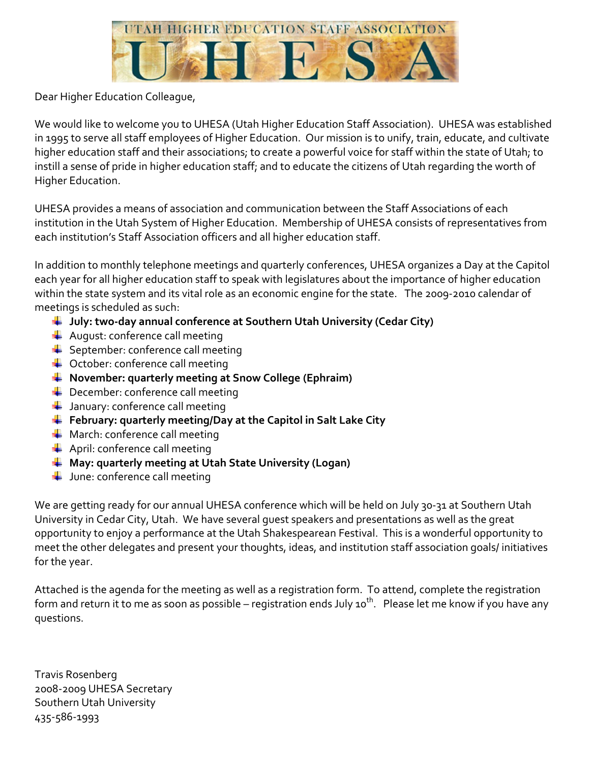

Dear Higher Education Colleague,

We would like to welcome you to UHESA (Utah Higher Education Staff Association). UHESA was established in 1995 to serve all staff employees of Higher Education. Our mission is to unify, train, educate, and cultivate higher education staff and their associations; to create a powerful voice for staff within the state of Utah; to instill a sense of pride in higher education staff; and to educate the citizens of Utah regarding the worth of Higher Education.

UHESA provides a means of association and communication between the Staff Associations of each institution in the Utah System of Higher Education. Membership of UHESA consists of representatives from each institution's Staff Association officers and all higher education staff.

In addition to monthly telephone meetings and quarterly conferences, UHESA organizes a Day at the Capitol each year for all higher education staff to speak with legislatures about the importance of higher education within the state system and its vital role as an economic engine for the state. The 2009-2010 calendar of meetings is scheduled as such:

- **July: two-day annual conference at Southern Utah University (Cedar City)**
- $\leftarrow$  August: conference call meeting
- $\leftarrow$  September: conference call meeting
- Cotober: conference call meeting
- **November: quarterly meeting at Snow College (Ephraim)**
- $\overline{\phantom{a}}$  December: conference call meeting
- $\downarrow$  January: conference call meeting
- **February: quarterly meeting/Day at the Capitol in Salt Lake City**
- $\leftarrow$  March: conference call meeting
- $\leftarrow$  April: conference call meeting
- **May: quarterly meeting at Utah State University (Logan)**
- $\downarrow$  June: conference call meeting

We are getting ready for our annual UHESA conference which will be held on July 30-31 at Southern Utah University in Cedar City, Utah. We have several guest speakers and presentations as well as the great opportunity to enjoy a performance at the Utah Shakespearean Festival. This is a wonderful opportunity to meet the other delegates and present your thoughts, ideas, and institution staff association goals/ initiatives for the year.

Attached is the agenda for the meeting as well as a registration form. To attend, complete the registration form and return it to me as soon as possible – registration ends July 10<sup>th</sup>. Please let me know if you have any questions.

Travis Rosenberg 2008-2009 UHESA Secretary Southern Utah University 435-586-1993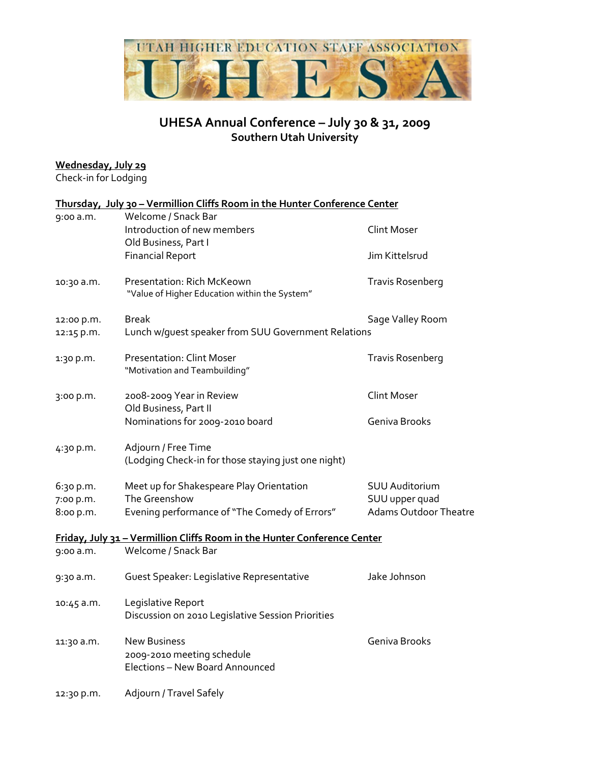

## **UHESA Annual Conference – July 30 & 31, 2009 Southern Utah University**

#### **Wednesday, July 29**

Check-in for Lodging

|            | Thursday, July 30 - Vermillion Cliffs Room in the Hunter Conference Center  |                              |
|------------|-----------------------------------------------------------------------------|------------------------------|
| 9:00 a.m.  | Welcome / Snack Bar                                                         |                              |
|            | Introduction of new members                                                 | <b>Clint Moser</b>           |
|            | Old Business, Part I                                                        |                              |
|            | <b>Financial Report</b>                                                     | Jim Kittelsrud               |
| 10:30 a.m. | Presentation: Rich McKeown<br>"Value of Higher Education within the System" | <b>Travis Rosenberg</b>      |
| 12:00 p.m. | Break                                                                       | Sage Valley Room             |
| 12:15 p.m. | Lunch w/guest speaker from SUU Government Relations                         |                              |
| 1:30 p.m.  | <b>Presentation: Clint Moser</b>                                            | <b>Travis Rosenberg</b>      |
|            | "Motivation and Teambuilding"                                               |                              |
| 3:00 p.m.  | 2008-2009 Year in Review                                                    | <b>Clint Moser</b>           |
|            | Old Business, Part II                                                       |                              |
|            | Nominations for 2009-2010 board                                             | Geniva Brooks                |
| 4:30 p.m.  | Adjourn / Free Time                                                         |                              |
|            | (Lodging Check-in for those staying just one night)                         |                              |
| 6:30 p.m.  | Meet up for Shakespeare Play Orientation                                    | <b>SUU Auditorium</b>        |
| 7:00 p.m.  | The Greenshow                                                               | SUU upper quad               |
| 8:00 p.m.  | Evening performance of "The Comedy of Errors"                               | <b>Adams Outdoor Theatre</b> |
|            | Friday, July 31 - Vermillion Cliffs Room in the Hunter Conference Center    |                              |
| 9:00 a.m.  | Welcome / Snack Bar                                                         |                              |
| 9:30 a.m.  | Guest Speaker: Legislative Representative                                   | Jake Johnson                 |
| 10:45 a.m. | Legislative Report                                                          |                              |
|            | Discussion on 2010 Legislative Session Priorities                           |                              |
| 11:30 a.m. | <b>New Business</b>                                                         | Geniva Brooks                |
|            | 2009-2010 meeting schedule                                                  |                              |
|            | Elections - New Board Announced                                             |                              |
| 12:30 p.m. | Adjourn / Travel Safely                                                     |                              |